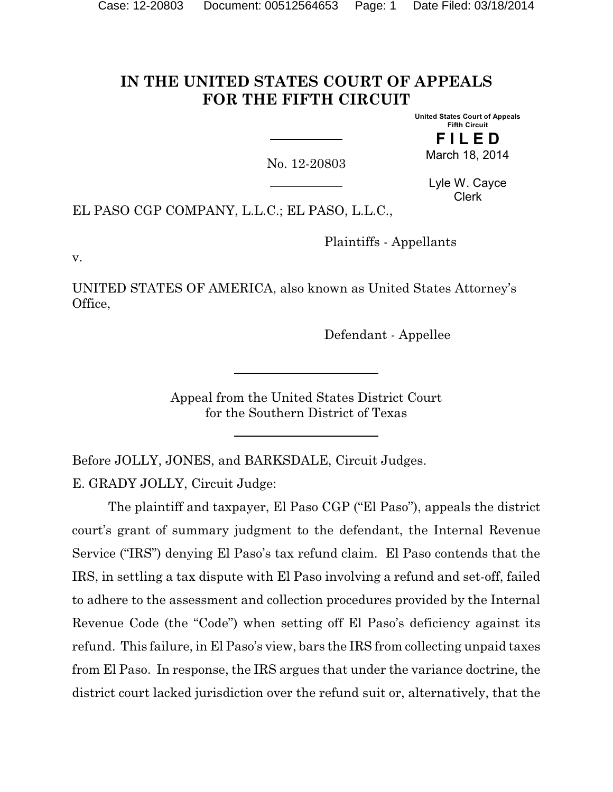# **IN THE UNITED STATES COURT OF APPEALS FOR THE FIFTH CIRCUIT**

**United States Court of Appeals Fifth Circuit F I L E D**

March 18, 2014

No. 12-20803

Lyle W. Cayce Clerk

EL PASO CGP COMPANY, L.L.C.; EL PASO, L.L.C.,

Plaintiffs - Appellants

v.

UNITED STATES OF AMERICA, also known as United States Attorney's Office,

Defendant - Appellee

Appeal from the United States District Court for the Southern District of Texas

Before JOLLY, JONES, and BARKSDALE, Circuit Judges.

E. GRADY JOLLY, Circuit Judge:

The plaintiff and taxpayer, El Paso CGP ("El Paso"), appeals the district court's grant of summary judgment to the defendant, the Internal Revenue Service ("IRS") denying El Paso's tax refund claim. El Paso contends that the IRS, in settling a tax dispute with El Paso involving a refund and set-off, failed to adhere to the assessment and collection procedures provided by the Internal Revenue Code (the "Code") when setting off El Paso's deficiency against its refund. This failure, in El Paso's view, bars the IRS from collecting unpaid taxes from El Paso. In response, the IRS argues that under the variance doctrine, the district court lacked jurisdiction over the refund suit or, alternatively, that the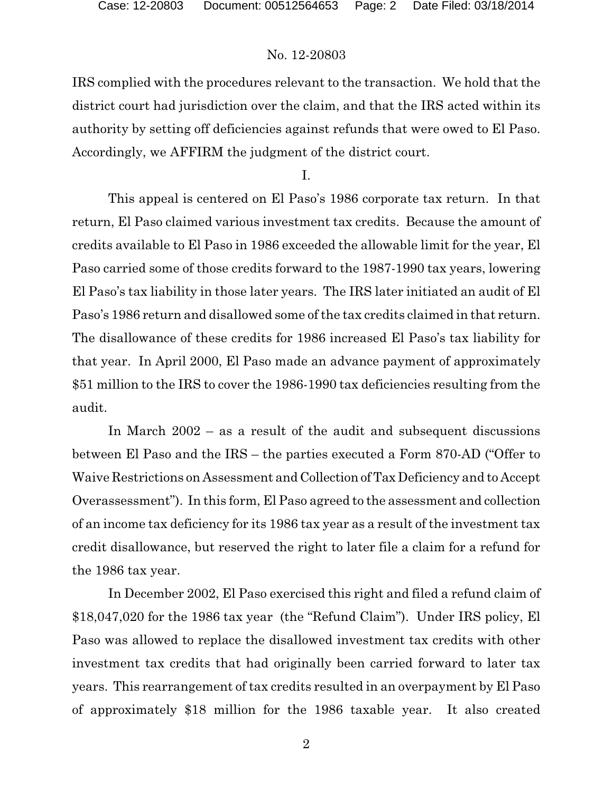IRS complied with the procedures relevant to the transaction. We hold that the district court had jurisdiction over the claim, and that the IRS acted within its authority by setting off deficiencies against refunds that were owed to El Paso. Accordingly, we AFFIRM the judgment of the district court.

I.

This appeal is centered on El Paso's 1986 corporate tax return. In that return, El Paso claimed various investment tax credits. Because the amount of credits available to El Paso in 1986 exceeded the allowable limit for the year, El Paso carried some of those credits forward to the 1987-1990 tax years, lowering El Paso's tax liability in those later years. The IRS later initiated an audit of El Paso's 1986 return and disallowed some of the tax credits claimed in that return. The disallowance of these credits for 1986 increased El Paso's tax liability for that year. In April 2000, El Paso made an advance payment of approximately \$51 million to the IRS to cover the 1986-1990 tax deficiencies resulting from the audit.

In March 2002 – as a result of the audit and subsequent discussions between El Paso and the IRS – the parties executed a Form 870-AD ("Offer to Waive Restrictions on Assessment and Collection ofTax Deficiency and to Accept Overassessment"). In this form, El Paso agreed to the assessment and collection of an income tax deficiency for its 1986 tax year as a result of the investment tax credit disallowance, but reserved the right to later file a claim for a refund for the 1986 tax year.

In December 2002, El Paso exercised this right and filed a refund claim of \$18,047,020 for the 1986 tax year (the "Refund Claim"). Under IRS policy, El Paso was allowed to replace the disallowed investment tax credits with other investment tax credits that had originally been carried forward to later tax years. This rearrangement of tax credits resulted in an overpayment by El Paso of approximately \$18 million for the 1986 taxable year. It also created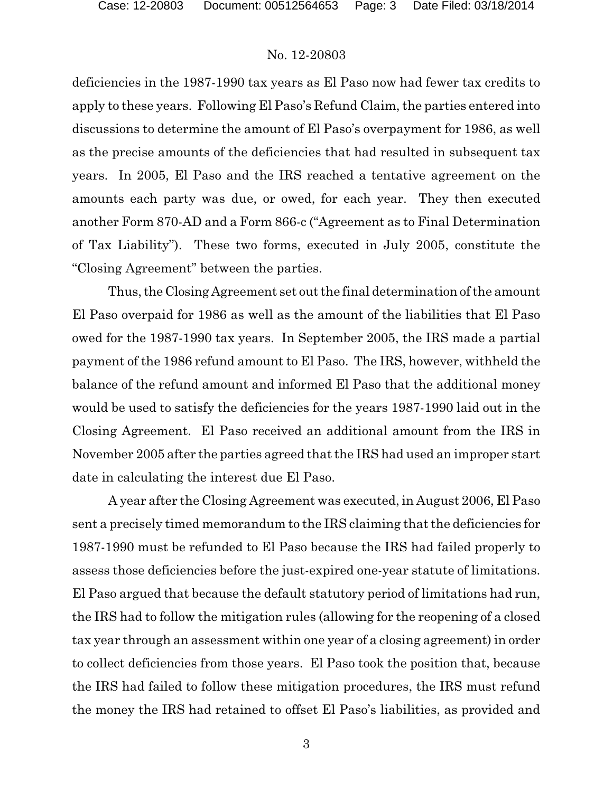deficiencies in the 1987-1990 tax years as El Paso now had fewer tax credits to apply to these years. Following El Paso's Refund Claim, the parties entered into discussions to determine the amount of El Paso's overpayment for 1986, as well as the precise amounts of the deficiencies that had resulted in subsequent tax years. In 2005, El Paso and the IRS reached a tentative agreement on the amounts each party was due, or owed, for each year. They then executed another Form 870-AD and a Form 866-c ("Agreement as to Final Determination of Tax Liability"). These two forms, executed in July 2005, constitute the "Closing Agreement" between the parties.

Thus, the Closing Agreement set out the final determination of the amount El Paso overpaid for 1986 as well as the amount of the liabilities that El Paso owed for the 1987-1990 tax years. In September 2005, the IRS made a partial payment of the 1986 refund amount to El Paso. The IRS, however, withheld the balance of the refund amount and informed El Paso that the additional money would be used to satisfy the deficiencies for the years 1987-1990 laid out in the Closing Agreement. El Paso received an additional amount from the IRS in November 2005 after the parties agreed that the IRS had used an improper start date in calculating the interest due El Paso.

A year after the Closing Agreement was executed, in August 2006, El Paso sent a precisely timed memorandum to the IRS claiming that the deficiencies for 1987-1990 must be refunded to El Paso because the IRS had failed properly to assess those deficiencies before the just-expired one-year statute of limitations. El Paso argued that because the default statutory period of limitations had run, the IRS had to follow the mitigation rules (allowing for the reopening of a closed tax year through an assessment within one year of a closing agreement) in order to collect deficiencies from those years. El Paso took the position that, because the IRS had failed to follow these mitigation procedures, the IRS must refund the money the IRS had retained to offset El Paso's liabilities, as provided and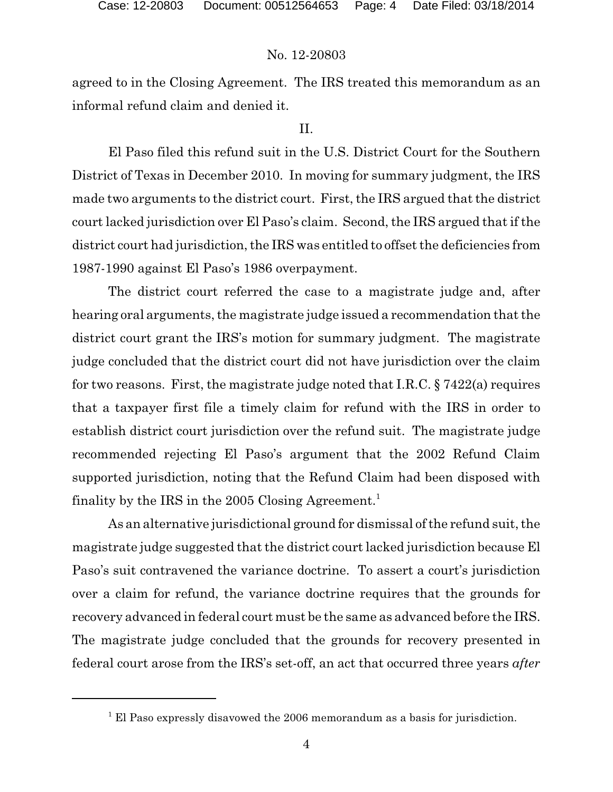agreed to in the Closing Agreement. The IRS treated this memorandum as an informal refund claim and denied it.

### II.

El Paso filed this refund suit in the U.S. District Court for the Southern District of Texas in December 2010. In moving for summary judgment, the IRS made two arguments to the district court. First, the IRS argued that the district court lacked jurisdiction over El Paso's claim. Second, the IRS argued that if the district court had jurisdiction, the IRS was entitled to offset the deficiencies from 1987-1990 against El Paso's 1986 overpayment.

The district court referred the case to a magistrate judge and, after hearing oral arguments, the magistrate judge issued a recommendation that the district court grant the IRS's motion for summary judgment. The magistrate judge concluded that the district court did not have jurisdiction over the claim for two reasons. First, the magistrate judge noted that I.R.C. § 7422(a) requires that a taxpayer first file a timely claim for refund with the IRS in order to establish district court jurisdiction over the refund suit. The magistrate judge recommended rejecting El Paso's argument that the 2002 Refund Claim supported jurisdiction, noting that the Refund Claim had been disposed with finality by the IRS in the 2005 Closing Agreement.<sup>1</sup>

As an alternative jurisdictional ground for dismissal of the refund suit, the magistrate judge suggested that the district court lacked jurisdiction because El Paso's suit contravened the variance doctrine. To assert a court's jurisdiction over a claim for refund, the variance doctrine requires that the grounds for recovery advanced in federal court must be the same as advanced before the IRS. The magistrate judge concluded that the grounds for recovery presented in federal court arose from the IRS's set-off, an act that occurred three years *after*

 $1$  El Paso expressly disavowed the 2006 memorandum as a basis for jurisdiction.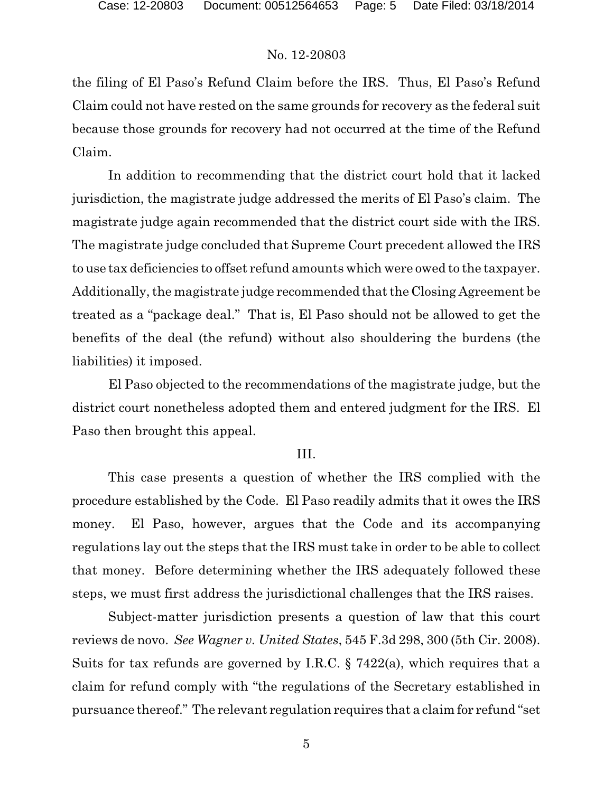the filing of El Paso's Refund Claim before the IRS. Thus, El Paso's Refund Claim could not have rested on the same grounds for recovery as the federal suit because those grounds for recovery had not occurred at the time of the Refund Claim.

In addition to recommending that the district court hold that it lacked jurisdiction, the magistrate judge addressed the merits of El Paso's claim. The magistrate judge again recommended that the district court side with the IRS. The magistrate judge concluded that Supreme Court precedent allowed the IRS to use tax deficiencies to offset refund amounts which were owed to the taxpayer. Additionally, the magistrate judge recommended that the Closing Agreement be treated as a "package deal." That is, El Paso should not be allowed to get the benefits of the deal (the refund) without also shouldering the burdens (the liabilities) it imposed.

El Paso objected to the recommendations of the magistrate judge, but the district court nonetheless adopted them and entered judgment for the IRS. El Paso then brought this appeal.

#### III.

This case presents a question of whether the IRS complied with the procedure established by the Code. El Paso readily admits that it owes the IRS money. El Paso, however, argues that the Code and its accompanying regulations lay out the steps that the IRS must take in order to be able to collect that money. Before determining whether the IRS adequately followed these steps, we must first address the jurisdictional challenges that the IRS raises.

Subject-matter jurisdiction presents a question of law that this court reviews de novo. *See Wagner v. United States*, 545 F.3d 298, 300 (5th Cir. 2008). Suits for tax refunds are governed by I.R.C. § 7422(a), which requires that a claim for refund comply with "the regulations of the Secretary established in pursuance thereof." The relevant regulation requires that a claim for refund "set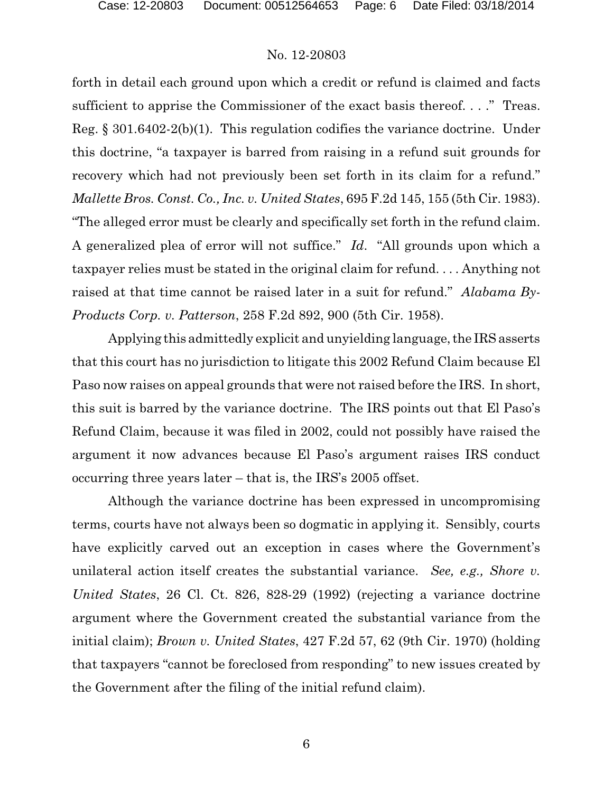forth in detail each ground upon which a credit or refund is claimed and facts sufficient to apprise the Commissioner of the exact basis thereof...." Treas. Reg. § 301.6402-2(b)(1). This regulation codifies the variance doctrine. Under this doctrine, "a taxpayer is barred from raising in a refund suit grounds for recovery which had not previously been set forth in its claim for a refund." *Mallette Bros. Const. Co., Inc. v. United States*, 695 F.2d 145, 155 (5th Cir. 1983). "The alleged error must be clearly and specifically set forth in the refund claim. A generalized plea of error will not suffice." *Id*. "All grounds upon which a taxpayer relies must be stated in the original claim for refund. . . . Anything not raised at that time cannot be raised later in a suit for refund." *Alabama By-Products Corp. v. Patterson*, 258 F.2d 892, 900 (5th Cir. 1958).

Applying this admittedly explicit and unyielding language, the IRS asserts that this court has no jurisdiction to litigate this 2002 Refund Claim because El Paso now raises on appeal grounds that were not raised before the IRS. In short, this suit is barred by the variance doctrine. The IRS points out that El Paso's Refund Claim, because it was filed in 2002, could not possibly have raised the argument it now advances because El Paso's argument raises IRS conduct occurring three years later – that is, the IRS's 2005 offset.

Although the variance doctrine has been expressed in uncompromising terms, courts have not always been so dogmatic in applying it. Sensibly, courts have explicitly carved out an exception in cases where the Government's unilateral action itself creates the substantial variance. *See, e.g., Shore v. United States*, 26 Cl. Ct. 826, 828-29 (1992) (rejecting a variance doctrine argument where the Government created the substantial variance from the initial claim); *Brown v. United States*, 427 F.2d 57, 62 (9th Cir. 1970) (holding that taxpayers "cannot be foreclosed from responding" to new issues created by the Government after the filing of the initial refund claim).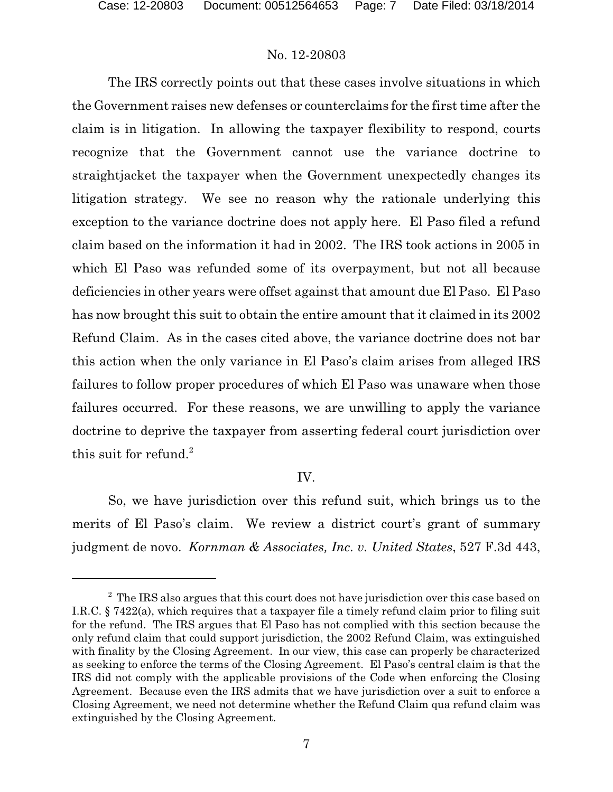The IRS correctly points out that these cases involve situations in which the Government raises new defenses or counterclaims for the first time after the claim is in litigation. In allowing the taxpayer flexibility to respond, courts recognize that the Government cannot use the variance doctrine to straightjacket the taxpayer when the Government unexpectedly changes its litigation strategy. We see no reason why the rationale underlying this exception to the variance doctrine does not apply here. El Paso filed a refund claim based on the information it had in 2002. The IRS took actions in 2005 in which El Paso was refunded some of its overpayment, but not all because deficiencies in other years were offset against that amount due El Paso. El Paso has now brought this suit to obtain the entire amount that it claimed in its 2002 Refund Claim. As in the cases cited above, the variance doctrine does not bar this action when the only variance in El Paso's claim arises from alleged IRS failures to follow proper procedures of which El Paso was unaware when those failures occurred. For these reasons, we are unwilling to apply the variance doctrine to deprive the taxpayer from asserting federal court jurisdiction over this suit for refund. $^{2}$ 

### IV.

So, we have jurisdiction over this refund suit, which brings us to the merits of El Paso's claim. We review a district court's grant of summary judgment de novo. *Kornman & Associates, Inc. v. United States*, 527 F.3d 443,

<sup>&</sup>lt;sup>2</sup> The IRS also argues that this court does not have jurisdiction over this case based on I.R.C. § 7422(a), which requires that a taxpayer file a timely refund claim prior to filing suit for the refund. The IRS argues that El Paso has not complied with this section because the only refund claim that could support jurisdiction, the 2002 Refund Claim, was extinguished with finality by the Closing Agreement. In our view, this case can properly be characterized as seeking to enforce the terms of the Closing Agreement. El Paso's central claim is that the IRS did not comply with the applicable provisions of the Code when enforcing the Closing Agreement. Because even the IRS admits that we have jurisdiction over a suit to enforce a Closing Agreement, we need not determine whether the Refund Claim qua refund claim was extinguished by the Closing Agreement.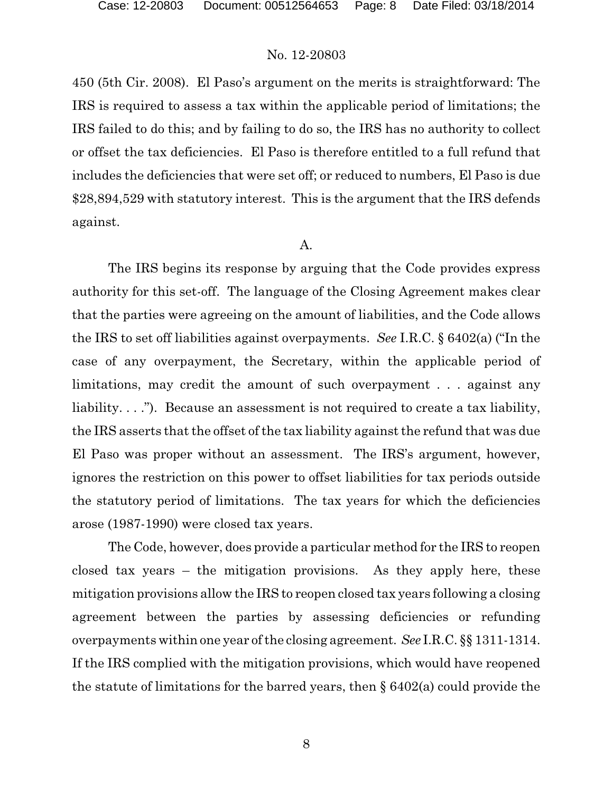450 (5th Cir. 2008). El Paso's argument on the merits is straightforward: The IRS is required to assess a tax within the applicable period of limitations; the IRS failed to do this; and by failing to do so, the IRS has no authority to collect or offset the tax deficiencies. El Paso is therefore entitled to a full refund that includes the deficiencies that were set off; or reduced to numbers, El Paso is due \$28,894,529 with statutory interest. This is the argument that the IRS defends against.

#### A.

The IRS begins its response by arguing that the Code provides express authority for this set-off. The language of the Closing Agreement makes clear that the parties were agreeing on the amount of liabilities, and the Code allows the IRS to set off liabilities against overpayments. *See* I.R.C. § 6402(a) ("In the case of any overpayment, the Secretary, within the applicable period of limitations, may credit the amount of such overpayment . . . against any liability. . . ."). Because an assessment is not required to create a tax liability, the IRS asserts that the offset of the tax liability against the refund that was due El Paso was proper without an assessment. The IRS's argument, however, ignores the restriction on this power to offset liabilities for tax periods outside the statutory period of limitations. The tax years for which the deficiencies arose (1987-1990) were closed tax years.

The Code, however, does provide a particular method for the IRS to reopen closed tax years – the mitigation provisions. As they apply here, these mitigation provisions allow the IRS to reopen closed tax years following a closing agreement between the parties by assessing deficiencies or refunding overpayments within one year of the closing agreement. *See* I.R.C. §§ 1311-1314. If the IRS complied with the mitigation provisions, which would have reopened the statute of limitations for the barred years, then § 6402(a) could provide the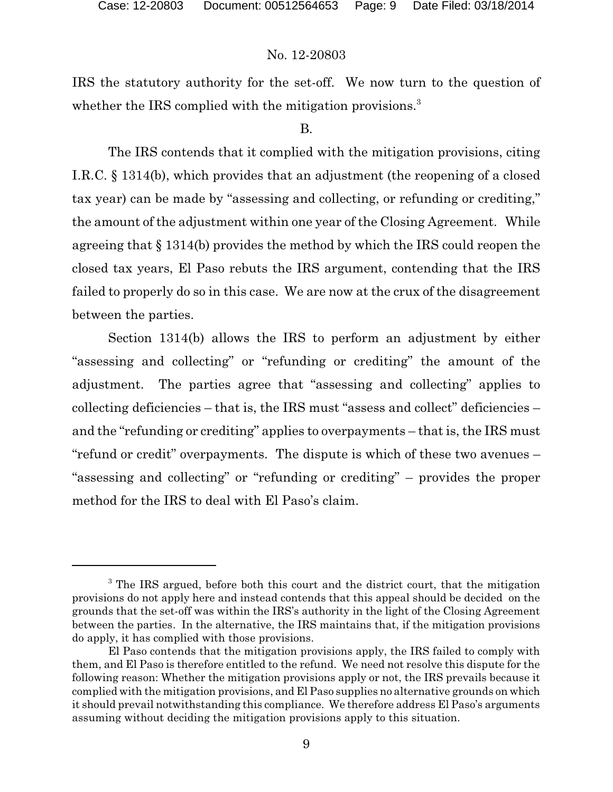IRS the statutory authority for the set-off. We now turn to the question of whether the IRS complied with the mitigation provisions.<sup>3</sup>

### B.

The IRS contends that it complied with the mitigation provisions, citing I.R.C. § 1314(b), which provides that an adjustment (the reopening of a closed tax year) can be made by "assessing and collecting, or refunding or crediting," the amount of the adjustment within one year of the Closing Agreement. While agreeing that § 1314(b) provides the method by which the IRS could reopen the closed tax years, El Paso rebuts the IRS argument, contending that the IRS failed to properly do so in this case. We are now at the crux of the disagreement between the parties.

Section 1314(b) allows the IRS to perform an adjustment by either "assessing and collecting" or "refunding or crediting" the amount of the adjustment. The parties agree that "assessing and collecting" applies to collecting deficiencies – that is, the IRS must "assess and collect" deficiencies – and the "refunding or crediting" applies to overpayments – that is, the IRS must "refund or credit" overpayments. The dispute is which of these two avenues – "assessing and collecting" or "refunding or crediting" – provides the proper method for the IRS to deal with El Paso's claim.

<sup>&</sup>lt;sup>3</sup> The IRS argued, before both this court and the district court, that the mitigation provisions do not apply here and instead contends that this appeal should be decided on the grounds that the set-off was within the IRS's authority in the light of the Closing Agreement between the parties. In the alternative, the IRS maintains that, if the mitigation provisions do apply, it has complied with those provisions.

El Paso contends that the mitigation provisions apply, the IRS failed to comply with them, and El Paso is therefore entitled to the refund. We need not resolve this dispute for the following reason: Whether the mitigation provisions apply or not, the IRS prevails because it complied with the mitigation provisions, and El Paso supplies no alternative grounds on which it should prevail notwithstanding this compliance. We therefore address El Paso's arguments assuming without deciding the mitigation provisions apply to this situation.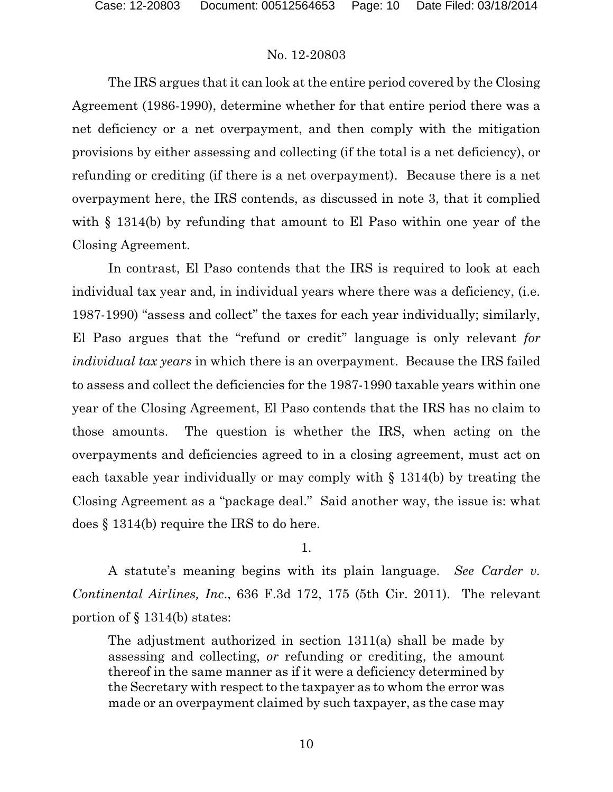The IRS argues that it can look at the entire period covered by the Closing Agreement (1986-1990), determine whether for that entire period there was a net deficiency or a net overpayment, and then comply with the mitigation provisions by either assessing and collecting (if the total is a net deficiency), or refunding or crediting (if there is a net overpayment). Because there is a net overpayment here, the IRS contends, as discussed in note 3, that it complied with § 1314(b) by refunding that amount to El Paso within one year of the Closing Agreement.

In contrast, El Paso contends that the IRS is required to look at each individual tax year and, in individual years where there was a deficiency, (i.e. 1987-1990) "assess and collect" the taxes for each year individually; similarly, El Paso argues that the "refund or credit" language is only relevant *for individual tax years* in which there is an overpayment. Because the IRS failed to assess and collect the deficiencies for the 1987-1990 taxable years within one year of the Closing Agreement, El Paso contends that the IRS has no claim to those amounts. The question is whether the IRS, when acting on the overpayments and deficiencies agreed to in a closing agreement, must act on each taxable year individually or may comply with § 1314(b) by treating the Closing Agreement as a "package deal." Said another way, the issue is: what does § 1314(b) require the IRS to do here.

1.

A statute's meaning begins with its plain language. *See Carder v. Continental Airlines, Inc*., 636 F.3d 172, 175 (5th Cir. 2011). The relevant portion of § 1314(b) states:

The adjustment authorized in section 1311(a) shall be made by assessing and collecting, *or* refunding or crediting, the amount thereof in the same manner as if it were a deficiency determined by the Secretary with respect to the taxpayer as to whom the error was made or an overpayment claimed by such taxpayer, as the case may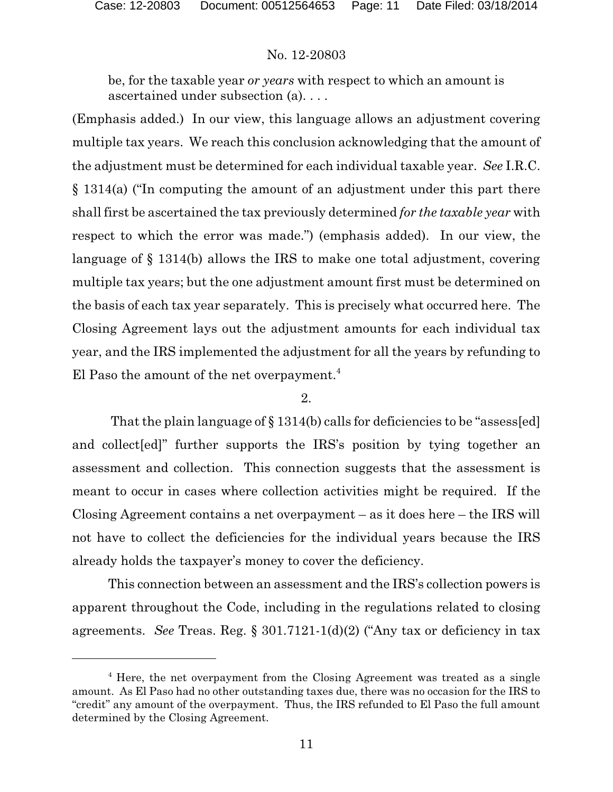be, for the taxable year *or years* with respect to which an amount is ascertained under subsection (a). . . .

(Emphasis added.) In our view, this language allows an adjustment covering multiple tax years. We reach this conclusion acknowledging that the amount of the adjustment must be determined for each individual taxable year. *See* I.R.C. § 1314(a) ("In computing the amount of an adjustment under this part there shall first be ascertained the tax previously determined *for the taxable year* with respect to which the error was made.") (emphasis added). In our view, the language of § 1314(b) allows the IRS to make one total adjustment, covering multiple tax years; but the one adjustment amount first must be determined on the basis of each tax year separately. This is precisely what occurred here. The Closing Agreement lays out the adjustment amounts for each individual tax year, and the IRS implemented the adjustment for all the years by refunding to El Paso the amount of the net overpayment.<sup>4</sup>

### 2.

That the plain language of  $\S 1314(b)$  calls for deficiencies to be "assess[ed] and collect[ed]" further supports the IRS's position by tying together an assessment and collection. This connection suggests that the assessment is meant to occur in cases where collection activities might be required. If the Closing Agreement contains a net overpayment – as it does here – the IRS will not have to collect the deficiencies for the individual years because the IRS already holds the taxpayer's money to cover the deficiency.

This connection between an assessment and the IRS's collection powers is apparent throughout the Code, including in the regulations related to closing agreements. *See* Treas. Reg. § 301.7121-1(d)(2) ("Any tax or deficiency in tax

<sup>&</sup>lt;sup>4</sup> Here, the net overpayment from the Closing Agreement was treated as a single amount. As El Paso had no other outstanding taxes due, there was no occasion for the IRS to "credit" any amount of the overpayment. Thus, the IRS refunded to El Paso the full amount determined by the Closing Agreement.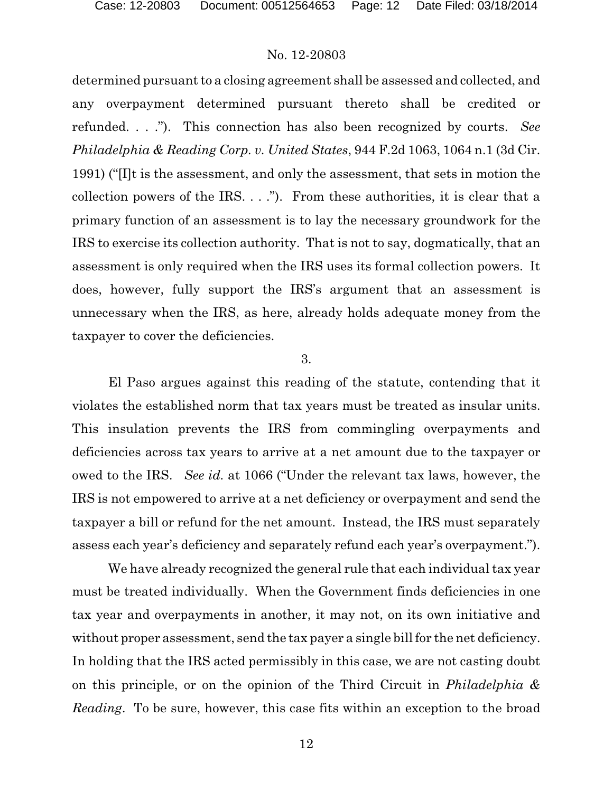determined pursuant to a closing agreement shall be assessed and collected, and any overpayment determined pursuant thereto shall be credited or refunded. . . ."). This connection has also been recognized by courts. *See Philadelphia & Reading Corp. v. United States*, 944 F.2d 1063, 1064 n.1 (3d Cir. 1991) ("[I]t is the assessment, and only the assessment, that sets in motion the collection powers of the IRS.  $\ldots$ "). From these authorities, it is clear that a primary function of an assessment is to lay the necessary groundwork for the IRS to exercise its collection authority. That is not to say, dogmatically, that an assessment is only required when the IRS uses its formal collection powers. It does, however, fully support the IRS's argument that an assessment is unnecessary when the IRS, as here, already holds adequate money from the taxpayer to cover the deficiencies.

#### 3.

El Paso argues against this reading of the statute, contending that it violates the established norm that tax years must be treated as insular units. This insulation prevents the IRS from commingling overpayments and deficiencies across tax years to arrive at a net amount due to the taxpayer or owed to the IRS. *See id.* at 1066 ("Under the relevant tax laws, however, the IRS is not empowered to arrive at a net deficiency or overpayment and send the taxpayer a bill or refund for the net amount. Instead, the IRS must separately assess each year's deficiency and separately refund each year's overpayment.").

We have already recognized the general rule that each individual tax year must be treated individually. When the Government finds deficiencies in one tax year and overpayments in another, it may not, on its own initiative and without proper assessment, send the tax payer a single bill for the net deficiency. In holding that the IRS acted permissibly in this case, we are not casting doubt on this principle, or on the opinion of the Third Circuit in *Philadelphia & Reading*. To be sure, however, this case fits within an exception to the broad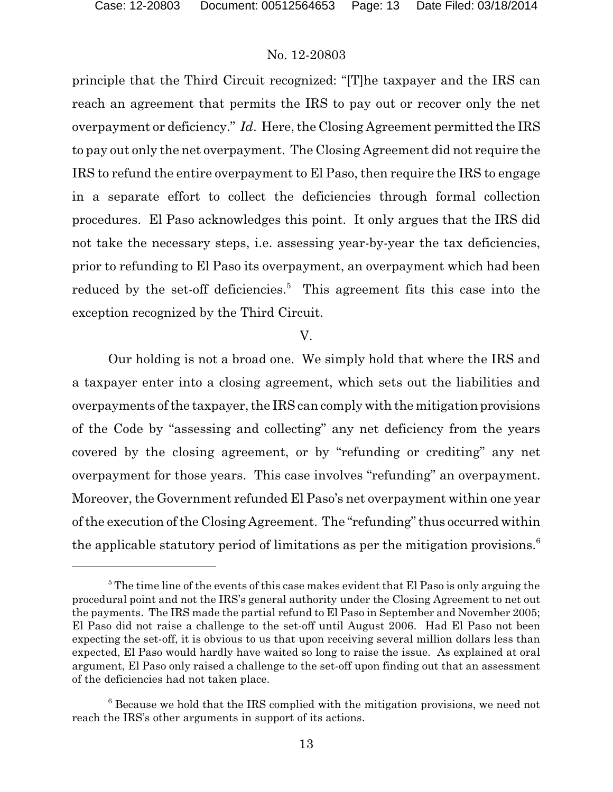principle that the Third Circuit recognized: "[T]he taxpayer and the IRS can reach an agreement that permits the IRS to pay out or recover only the net overpayment or deficiency." *Id*. Here, the Closing Agreement permitted the IRS to pay out only the net overpayment. The Closing Agreement did not require the IRS to refund the entire overpayment to El Paso, then require the IRS to engage in a separate effort to collect the deficiencies through formal collection procedures. El Paso acknowledges this point. It only argues that the IRS did not take the necessary steps, i.e. assessing year-by-year the tax deficiencies, prior to refunding to El Paso its overpayment, an overpayment which had been reduced by the set-off deficiencies.<sup>5</sup> This agreement fits this case into the exception recognized by the Third Circuit.

#### V.

Our holding is not a broad one. We simply hold that where the IRS and a taxpayer enter into a closing agreement, which sets out the liabilities and overpayments of the taxpayer, the IRS can comply with the mitigation provisions of the Code by "assessing and collecting" any net deficiency from the years covered by the closing agreement, or by "refunding or crediting" any net overpayment for those years. This case involves "refunding" an overpayment. Moreover, the Government refunded El Paso's net overpayment within one year of the execution of the Closing Agreement. The "refunding" thus occurred within the applicable statutory period of limitations as per the mitigation provisions.<sup>6</sup>

<sup>&</sup>lt;sup>5</sup> The time line of the events of this case makes evident that El Paso is only arguing the procedural point and not the IRS's general authority under the Closing Agreement to net out the payments. The IRS made the partial refund to El Paso in September and November 2005; El Paso did not raise a challenge to the set-off until August 2006. Had El Paso not been expecting the set-off, it is obvious to us that upon receiving several million dollars less than expected, El Paso would hardly have waited so long to raise the issue. As explained at oral argument, El Paso only raised a challenge to the set-off upon finding out that an assessment of the deficiencies had not taken place.

<sup>&</sup>lt;sup>6</sup> Because we hold that the IRS complied with the mitigation provisions, we need not reach the IRS's other arguments in support of its actions.